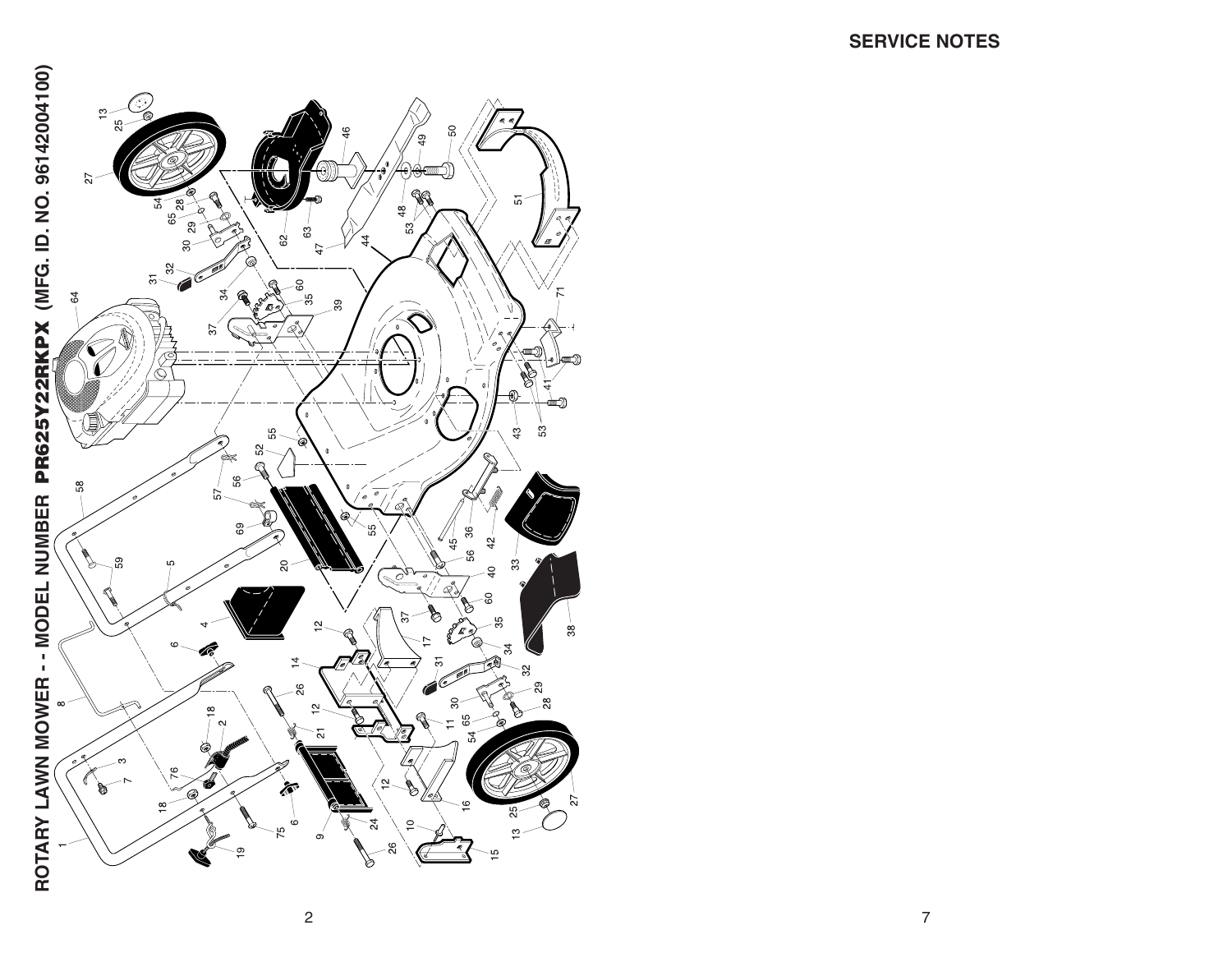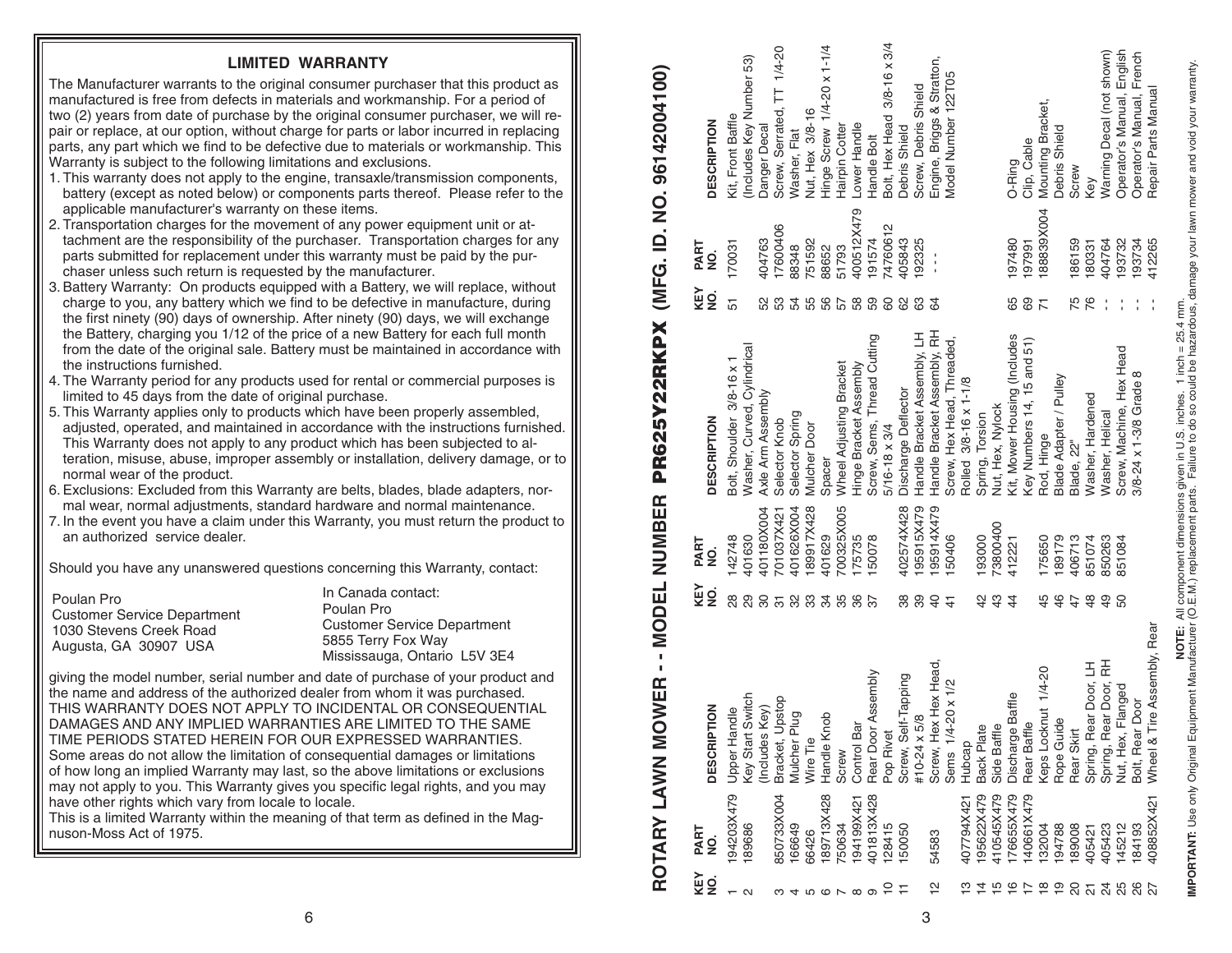| KEY<br>g       | PART       | <b>PTION</b><br><b>DESCRI</b>                  | KEY<br>gi       | PART       | <b>DESCRIPTION</b>           | KEY<br>$\frac{1}{2}$ | PART          | <b>DESCRIPTION</b>          |
|----------------|------------|------------------------------------------------|-----------------|------------|------------------------------|----------------------|---------------|-----------------------------|
|                | g          |                                                |                 | o<br>2     |                              |                      | o<br>2        |                             |
|                | 94203X479  | <b>Upper Handle</b>                            | 28              | 142748     | Bolt, Shoulder 3/8-16 x 1    | 51                   | 170031        | Kit, Front Baffle           |
| N              | 89686      | Key Start Switch                               | 29              | 401630     | Washer, Curved, Cylindrical  |                      |               | (Includes Key Number 53)    |
|                |            | Includes Key)                                  | 8               | 401180X004 | Axle Arm Assembly            | 52                   | 404763        | Danger Decal                |
|                | 850733X004 | Upstop<br>Bracket,                             | $\overline{5}$  | 701037X421 | Selector Knob                | 53                   | 7600406       | Screw, Serrated, TT 1/4-20  |
|                | 66649      | plug-<br>Mulcher <sup>1</sup>                  | ೫ ಜ             | 401626X004 | Selector Spring              | 54                   | 88348         | Washer, Flat                |
|                | 66426      | Wire Tie                                       |                 | 89917X428  | Mulcher Door                 | 55                   | 751592        | Nut, Hex 3/8-16             |
| 456669         | 89713X428  | Handle Knob                                    | 34              | 401629     | Spacer                       | 56<br>57             | 88652         | Hinge Screw 1/4-20 x 1-1/4  |
|                | 750634     | Screw                                          | 35              | 700325X005 | Wheel Adjusting Bracket      |                      | 51793         | Hairpin Cotter              |
|                | 94199X421  | Control Bar                                    | 36              | 175735     | Hinge Bracket Assembly       | 58                   | 400512X479    | Lower Handle                |
|                | 401813X428 | Rear Door Assembly                             | $\overline{37}$ | 50078      | Screw, Sems, Thread Cutting  | 59                   | 191574        | Handle Bolt                 |
|                | 128415     | Pop Rivet                                      |                 |            | $5/16 - 18 \times 3/4$       | 8                    | 4760612       | Bolt, Hex Head 3/8-16 x 3/4 |
|                | 150050     | Screw, Self-Tapping                            | 38              | 402574X428 | Discharge Deflector          | 8                    | 105843        | Debris Shield               |
|                |            | #10-24 x 5/8                                   | 39              | 95915X479  | Handle Bracket Assembly, LH  | යි                   | 192325        | Screw, Debris Shield        |
| $\frac{1}{2}$  | 54583      | Screw, Hex Hex Head,                           | $\overline{4}$  | 95914X479  | Handle Bracket Assembly, RH  | 64                   | $\frac{1}{1}$ | Engine, Briggs & Stratton,  |
|                |            | Sems 1/4-20 x 1/2                              | $\frac{4}{3}$   | 50406      | Screw, Hex Head, Threaded,   |                      |               | Model Number 122T05         |
|                | 407794X421 | Hubcap                                         |                 |            | Rolled 3/8-16 x 1-1/8        |                      |               |                             |
|                | I95622X479 | <b>Back Plate</b>                              | $\frac{2}{3}$   | 93000      | Spring, Torsion              |                      |               |                             |
|                | 410545X479 | Side Baffle                                    | $\frac{3}{4}$   | '3800400   | Nut, Hex, Nylock             |                      |               |                             |
| $\frac{6}{1}$  | 76655X479  | Discharge Baffle                               | $\overline{4}$  | 412221     | Kit, Mower Housing (Includes | 65                   | 087480        | O-Ring                      |
|                | 40661X479  | Rear Baffle                                    |                 |            | Key Numbers 14, 15 and 51)   | 89                   | 97991         | Clip, Cable                 |
| $\frac{8}{1}$  | 132004     |                                                | 45              | 75650      | Rod, Hinge                   | $\overline{7}$       | 88839X004     | Mounting Bracket,           |
| $\frac{6}{10}$ | 194788     | Keps Locknut 1/4-20<br>Rope Guide              | 46              | 189179     | Blade Adapter / Pulley       |                      |               | Debris Shield               |
|                | 189008     | Rear Skirt                                     | 47              | 406713     | Blade, 22"                   | 75                   | 186159        | Screw                       |
|                | 405421     | Spring, Rear Door, LH<br>Spring, Rear Door, RH | $\frac{8}{4}$   | 851074     | Washer, Hardened             | 76                   | 180331        | Key                         |
| <b>254582</b>  | 405423     |                                                | $\overline{4}$  | 850263     | Washer, Helical              |                      | 404764        | Warning Decal (not shown)   |
|                | 145212     | Nut, Hex, Flanged                              | 50              | 851084     | Screw, Machine, Hex Head     |                      | 93732         | Operator's Manual, English  |
|                | 84193      | Bolt, Rear Door                                |                 |            | 3/8-24 x 1-3/8 Grade 8       |                      | 193734        | Operator's Manual, French   |
|                | 408852X421 | Tire Assembly, Rear<br>Wheel &                 |                 |            |                              |                      | 412265        | Repair Parts Manual         |

**ROTARY LAWN MOWER - - MODEL NUMBER PR625Y22RKPX (MFG. ID. NO. 96142004100)**

ROTARY LAWN MOWER - - MODEL NUMBER PR625Y22RKPX (MFG. ID. NO. 96142004100)

**MPORTANT:** Use only Original Equipment Manufacturer (O.E.M.) replacement of mass of entilly a factor of the exact ours, damage your lawn mower and void your warranty.<br>IMPORTANT: Use only Original Equipment Manufacturer (O **IMPORTANT:** Use only Original Equipment Manufacturer (O.E.M.) replacement parts. Failure to do so could be hazardous, damage your lawn mower and void your warranty. **NOTE:** All component dimensions given in U.S. inches. 1 inch = 25.4 mm.